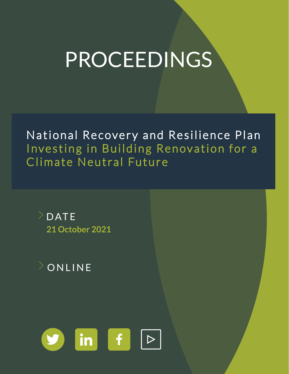# PROCEEDINGS

National Recovery and Resilience Plan Investing in Building Renovation for a Climate Neutral Future





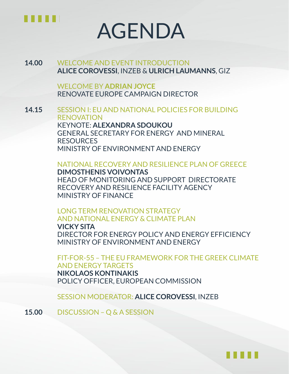

# AGENDA

## **14.00** WELCOME AND EVENT INTRODUCTION **ALICE COROVESSI**, INZEB & **ULRICH LAUMANNS**, GIZ

WELCOME BY **ADRIAN JOYCE** RENOVATE EUROPE CAMPAIGN DIRECTOR

**14.15** SESSION I: EU AND NATIONAL POLICIES FOR BUILDING RENOVATION KEYNOTE: **ALEXANDRA SDOUKOU** GENERAL SECRETARY FOR ENERGY AND MINERAL RESOURCES MINISTRY OF ENVIRONMENT AND ENERGY

NATIONAL RECOVERY AND RESILIENCE PLAN OF GREECE

**DIMOSTHENIS VOIVONTAS** HEAD OF MONITORING AND SUPPORT DIRECTORATE RECOVERY AND RESILIENCE FACILITY AGENCY MINISTRY OF FINANCE

LONG TERM RENOVATION STRATEGY AND NATIONAL ENERGY & CLIMATE PLAN

**VICKY SITA** DIRECTOR FOR ENERGY POLICY AND ENERGY EFFICIENCY MINISTRY OF ENVIRONMENT AND ENERGY

FIT-FOR-55 – THE EU FRAMEWORK FOR THE GREEK CLIMATE AND ENERGY TARGETS **NIKOLAOS KONTINAKIS** POLICY OFFICER, EUROPEAN COMMISSION

SESSION MODERATOR: **ALICE COROVESSI**, INZEB

**15.00** DISCUSSION – Q & A SESSION

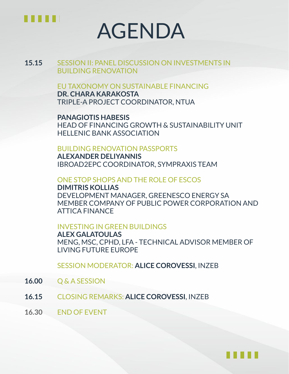

# AGENDA

**15.15** SESSION II: PANEL DISCUSSION ON INVESTMENTS IN BUILDING RENOVATION

#### EU TAXONOMY ON SUSTAINABLE FINANCING

**DR. CHARA KARAKOSTA** TRIPLE-A PROJECT COORDINATOR, NTUA

**PANAGIOTIS HABESIS** HEAD OF FINANCING GROWTH & SUSTAINABILITY UNIT HELLENIC BANK ASSOCIATION

#### BUILDING RENOVATION PASSPORTS

**ALEXANDER DELIYANNIS** IBROAD2EPC COORDINATOR, SYMPRAXIS TEAM

ONE STOP SHOPS AND THE ROLE OF ESCOS

**DIMITRIS KOLLIAS** DEVELOPMENT MANAGER, GREENESCO ENERGY SA MEMBER COMPANY OF PUBLIC POWER CORPORATION AND ATTICA FINANCE

#### INVESTING IN GREEN BUILDINGS

**ALEX GALATOULAS** MENG, MSC, CPHD, LFA - TECHNICAL ADVISOR MEMBER OF LIVING FUTURE EUROPE

SESSION MODERATOR: **ALICE COROVESSI**, INZEB

- **16.00** Q & A SESSION
- **16.15** CLOSING REMARKS: **ALICE COROVESSI**, INZEB
- **16.30** END OF EVENT

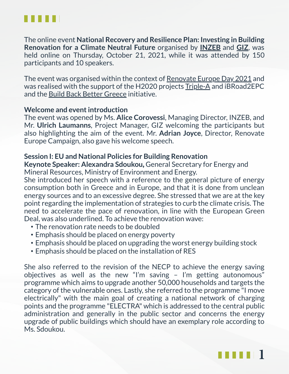

The online event **National Recovery and Resilience Plan: Investing in Building Renovation for a Climate Neutral Future** organised by **[INZEB](https://inzeb.org/)** and **[GIZ](https://www.giz.de/en/html/index.html)**, was held online on Thursday, October 21, 2021, while it was attended by 150 participants and 10 speakers.

The event was organised within the context of [Renovate](https://www.renovate-europe.eu/reday/reday-2021/) Europe Day 2021 and was realised with the support of the H2020 projects [Triple-A](https://www.aaa-h2020.eu/) and iBRoad2EPC and the Build Back Better Greece initiative.

### **Welcome and event introduction**

The event was opened by Ms. **Alice Corovessi**, Managing Director, INZEB, and Mr. **Ulrich Laumanns**, Project Manager, GIZ welcoming the participants but also highlighting the aim of the event. Mr. **Adrian Joyce**, Director, Renovate Europe Campaign, also gave his welcome speech.

### **Session I: EU and National Policies for Building Renovation**

**Keynote Speaker: Alexandra Sdoukou***,* General Secretary for Energy and Mineral Resources, Ministry of Environment and Energy.

She introduced her speech with a reference to the general picture of energy consumption both in Greece and in Europe, and that it is done from unclean energy sources and to an excessive degree. She stressed that we are at the key point regarding the implementation of strategies to curb the climate crisis. The need to accelerate the pace of renovation, in line with the European Green Deal, was also underlined. To achieve the renovation wave:

- The renovation rate needs to be doubled
- Emphasis should be placed on energy poverty
- Emphasis should be placed on upgrading the worst energy building stock
- Emphasis should be placed on the installation of RES

She also referred to the revision of the NECP to achieve the energy saving objectives as well as the new "I'm saving – I'm getting autonomous" programme which aims to upgrade another 50,000 households and targets the category of the vulnerable ones. Lastly, she referred to the programme "I move electrically" with the main goal of creating a national network of charging points and the programme "ELECTRA" which is addressed to the central public administration and generally in the public sector and concerns the energy upgrade of public buildings which should have an exemplary role according to Ms. Sdoukou.

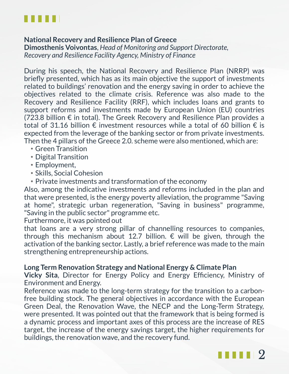

### **National Recovery and Resilience Plan of Greece**

**Dimosthenis Voivontas**, *Head of Monitoring and Support Directorate, Recovery and Resilience Facility Agency, Ministry of Finance*

During his speech, the National Recovery and Resilience Plan (NRRP) was briefly presented, which has as its main objective the support of investments related to buildings' renovation and the energy saving in order to achieve the objectives related to the climate crisis. Reference was also made to the Recovery and Resilience Facility (RRF), which includes loans and grants to support reforms and investments made by European Union (EU) countries (723.8 billion € in total). The Greek Recovery and Resilience Plan provides a total of 31.16 billion  $\epsilon$  investment resources while a total of 60 billion  $\epsilon$  is expected from the leverage of the banking sector or from private investments. Then the 4 pillars of the Greece 2.0. scheme were also mentioned, which are:

- Green Transition
- Digital Transition
- Employment,
- Skills, Social Cohesion
- Private investments and transformation of the economy

Also, among the indicative investments and reforms included in the plan and that were presented, is the energy poverty alleviation, the programme "Saving at home", strategic urban regeneration, "Saving in business" programme, "Saving in the public sector" programme etc.

Furthermore, it was pointed out

that loans are a very strong pillar of channelling resources to companies, through this mechanism about 12.7 billion.  $\epsilon$  will be given, through the activation of the banking sector. Lastly, a brief reference was made to the main strengthening entrepreneurship actions.

## **Long Term Renovation Strategy and National Energy & Climate Plan**

**Vicky Sita**, Director for Energy Policy and Energy Efficiency, Ministry of Environment and Energy.

Reference was made to the long-term strategy for the transition to a carbonfree building stock. The general objectives in accordance with the European Green Deal, the Renovation Wave, the NECP and the Long-Term Strategy, were presented. It was pointed out that the framework that is being formed is a dynamic process and important axes of this process are the increase of RES target, the increase of the energy savings target, the higher requirements for buildings, the renovation wave, and the recovery fund.

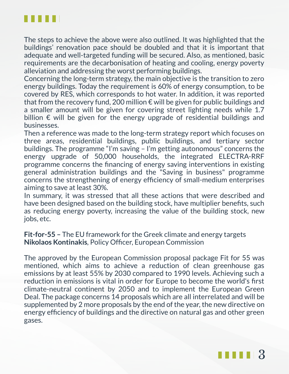

The steps to achieve the above were also outlined. It was highlighted that the buildings' renovation pace should be doubled and that it is important that adequate and well-targeted funding will be secured. Also, as mentioned, basic requirements are the decarbonisation of heating and cooling, energy poverty alleviation and addressing the worst performing buildings.

Concerning the long-term strategy, the main objective is the transition to zero energy buildings. Today the requirement is 60% of energy consumption, to be covered by RES, which corresponds to hot water. In addition, it was reported that from the recovery fund, 200 million  $\epsilon$  will be given for public buildings and a smaller amount will be given for covering street lighting needs while 1.7 billion  $\epsilon$  will be given for the energy upgrade of residential buildings and businesses.

Then a reference was made to the long-term strategy report which focuses on three areas, residential buildings, public buildings, and tertiary sector buildings. The programme "I'm saving – I'm getting autonomous" concerns the energy upgrade of 50,000 households, the integrated ELECTRA-RRF programme concerns the financing of energy saving interventions in existing general administration buildings and the "Saving in business" programme concerns the strengthening of energy efficiency of small-medium enterprises aiming to save at least 30%.

In summary, it was stressed that all these actions that were described and have been designed based on the building stock, have multiplier benefits, such as reducing energy poverty, increasing the value of the building stock, new jobs, etc.

**Fit-for-55 –** The EU framework for the Greek climate and energy targets **Nikolaos Kontinakis***,* Policy Officer, European Commission

The approved by the European Commission proposal package Fit for 55 was mentioned, which aims to achieve a reduction of clean greenhouse gas emissions by at least 55% by 2030 compared to 1990 levels. Achieving such a reduction in emissions is vital in order for Europe to become the world's first climate-neutral continent by 2050 and to implement the European Green Deal. The package concerns 14 proposals which are all interrelated and will be supplemented by 2 more proposals by the end of the year, the new directive on energy efficiency of buildings and the directive on natural gas and other green gases.

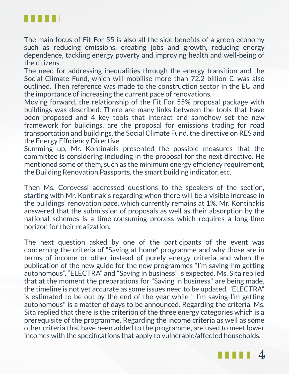

The main focus of Fit For 55 is also all the side benefits of a green economy such as reducing emissions, creating jobs and growth, reducing energy dependence, tackling energy poverty and improving health and well-being of the citizens.

The need for addressing inequalities through the energy transition and the Social Climate Fund, which will mobilise more than 72.2 billion €, was also outlined. Then reference was made to the construction sector in the EU and the importance of increasing the current pace of renovations.

Moving forward, the relationship of the Fit For 55% proposal package with buildings was described. There are many links between the tools that have been proposed and 4 key tools that interact and somehow set the new framework for buildings, are the proposal for emissions trading for road transportation and buildings, the Social Climate Fund, the directive on RES and the Energy Efficiency Directive.

Summing up, Mr. Kontinakis presented the possible measures that the committee is considering including in the proposal for the next directive. He mentioned some of them, such as the minimum energy efficiency requirement, the Building Renovation Passports, the smart building indicator, etc.

Then Ms. Corovessi addressed questions to the speakers of the section, starting with Mr. Kontinakis regarding when there will be a visible increase in the buildings' renovation pace, which currently remains at 1%. Mr. Kontinakis answered that the submission of proposals as well as their absorption by the national schemes is a time-consuming process which requires a long-time horizon for their realization.

The next question asked by one of the participants of the event was concerning the criteria of "Saving at home" programme and why those are in terms of income or other instead of purely energy criteria and when the publication of the new guide for the new programmes "I'm saving-I'm getting autonomous", "ELECTRA" and "Saving in business" is expected. Ms. Sita replied that at the moment the preparations for "Saving in business" are being made, the timeline is not yet accurate as some issues need to be updated, "ELECTRA" is estimated to be out by the end of the year while " I'm saving-I'm getting autonomous" is a matter of days to be announced. Regarding the criteria, Ms. Sita replied that there is the criterion of the three energy categories which is a prerequisite of the programme. Regarding the income criteria as well as some other criteria that have been added to the programme, are used to meet lower incomes with the specifications that apply to vulnerable/affected households.

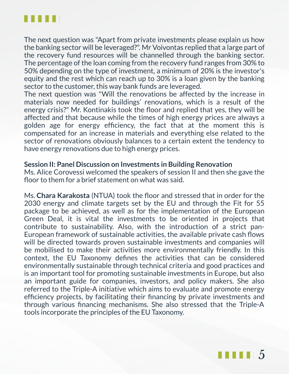

The next question was "Apart from private investments please explain us how the banking sector will be leveraged?". Mr Voivontas replied that a large part of the recovery fund resources will be channelled through the banking sector. The percentage of the loan coming from the recovery fund ranges from 30% to 50% depending on the type of investment, a minimum of 20% is the investor's equity and the rest which can reach up to 30% is a loan given by the banking sector to the customer, this way bank funds are leveraged.

The next question was "Will the renovations be affected by the increase in materials now needed for buildings' renovations, which is a result of the energy crisis?" Mr. Kontinakis took the floor and replied that yes, they will be affected and that because while the times of high energy prices are always a golden age for energy efficiency, the fact that at the moment this is compensated for an increase in materials and everything else related to the sector of renovations obviously balances to a certain extent the tendency to have energy renovations due to high energy prices.

#### **Session II: Panel Discussion on Investments in Building Renovation**

Ms. Alice Corovessi welcomed the speakers of session II and then she gave the floor to them for a brief statement on what was said.

Ms. **Chara Karakosta** (NTUA) took the floor and stressed that in order for the 2030 energy and climate targets set by the EU and through the Fit for 55 package to be achieved, as well as for the implementation of the European Green Deal, it is vital the investments to be oriented in projects that contribute to sustainability. Also, with the introduction of a strict pan-European framework of sustainable activities, the available private cash flows will be directed towards proven sustainable investments and companies will be mobilised to make their activities more environmentally friendly. In this context, the EU Taxonomy defines the activities that can be considered environmentally sustainable through technical criteria and good practices and is an important tool for promoting sustainable investments in Europe, but also an important guide for companies, investors, and policy makers. She also referred to the Triple-A initiative which aims to evaluate and promote energy efficiency projects, by facilitating their financing by private investments and through various financing mechanisms. She also stressed that the Triple-A tools incorporate the principles of the EU Taxonomy.

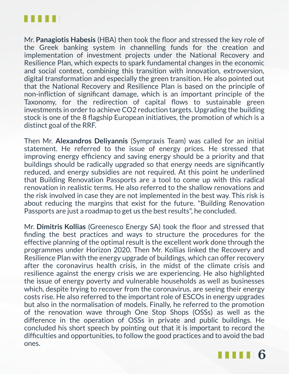

Mr. **Panagiotis Habesis** (HBA) then took the floor and stressed the key role of the Greek banking system in channelling funds for the creation and implementation of investment projects under the National Recovery and Resilience Plan, which expects to spark fundamental changes in the economic and social context, combining this transition with innovation, extroversion, digital transformation and especially the green transition. He also pointed out that the National Recovery and Resilience Plan is based on the principle of non-infliction of significant damage, which is an important principle of the Taxonomy, for the redirection of capital flows to sustainable green investments in order to achieve CO2 reduction targets. Upgrading the building stock is one of the 8 flagship European initiatives, the promotion of which is a distinct goal of the RRF.

Then Mr. **Alexandros Deliyannis** (Sympraxis Team) was called for an initial statement. He referred to the issue of energy prices. He stressed that improving energy efficiency and saving energy should be a priority and that buildings should be radically upgraded so that energy needs are significantly reduced, and energy subsidies are not required. At this point he underlined that Building Renovation Passports are a tool to come up with this radical renovation in realistic terms. He also referred to the shallow renovations and the risk involved in case they are not implemented in the best way. This risk is about reducing the margins that exist for the future. "Building Renovation Passports are just a roadmap to get us the best results", he concluded.

Mr. **Dimitris Kollias** (Greenesco Energy SA) took the floor and stressed that finding the best practices and ways to structure the procedures for the effective planning of the optimal result is the excellent work done through the programmes under Horizon 2020. Then Mr. Kollias linked the Recovery and Resilience Plan with the energy upgrade of buildings, which can offer recovery after the coronavirus health crisis, in the midst of the climate crisis and resilience against the energy crisis we are experiencing. He also highlighted the issue of energy poverty and vulnerable households as well as businesses which, despite trying to recover from the coronavirus, are seeing their energy costs rise. He also referred to the important role of ESCOs in energy upgrades but also in the normalisation of models. Finally, he referred to the promotion of the renovation wave through One Stop Shops (OSSs) as well as the difference in the operation of OSSs in private and public buildings. He concluded his short speech by pointing out that it is important to record the difficulties and opportunities, to follow the good practices and to avoid the bad ones.

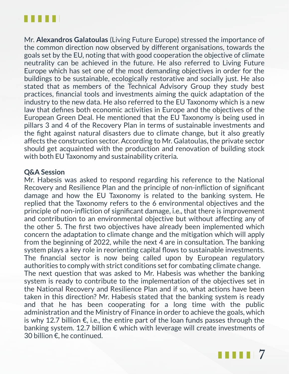

Mr. **Alexandros Galatoulas** (Living Future Europe) stressed the importance of the common direction now observed by different organisations, towards the goals set by the EU, noting that with good cooperation the objective of climate neutrality can be achieved in the future. He also referred to Living Future Europe which has set one of the most demanding objectives in order for the buildings to be sustainable, ecologically restorative and socially just. He also stated that as members of the Technical Advisory Group they study best practices, financial tools and investments aiming the quick adaptation of the industry to the new data. He also referred to the EU Taxonomy which is a new law that defines both economic activities in Europe and the objectives of the European Green Deal. He mentioned that the EU Taxonomy is being used in pillars 3 and 4 of the Recovery Plan in terms of sustainable investments and the fight against natural disasters due to climate change, but it also greatly affects the construction sector. According to Mr. Galatoulas, the private sector should get acquainted with the production and renovation of building stock with both EU Taxonomy and sustainability criteria.

### **Q&A Session**

Mr. Habesis was asked to respond regarding his reference to the National Recovery and Resilience Plan and the principle of non-infliction of significant damage and how the EU Taxonomy is related to the banking system. He replied that the Taxonomy refers to the 6 environmental objectives and the principle of non-infliction of significant damage, i.e., that there is improvement and contribution to an environmental objective but without affecting any of the other 5. The first two objectives have already been implemented which concern the adaptation to climate change and the mitigation which will apply from the beginning of 2022, while the next 4 are in consultation. The banking system plays a key role in reorienting capital flows to sustainable investments. The financial sector is now being called upon by European regulatory authorities to comply with strict conditions set for combating climate change. The next question that was asked to Mr. Habesis was whether the banking system is ready to contribute to the implementation of the objectives set in the National Recovery and Resilience Plan and if so, what actions have been taken in this direction? Mr. Habesis stated that the banking system is ready and that he has been cooperating for a long time with the public administration and the Ministry of Finance in order to achieve the goals, which is why 12.7 billion  $€$ , i.e., the entire part of the loan funds passes through the banking system. 12.7 billion € which with leverage will create investments of 30 billion €, he continued.

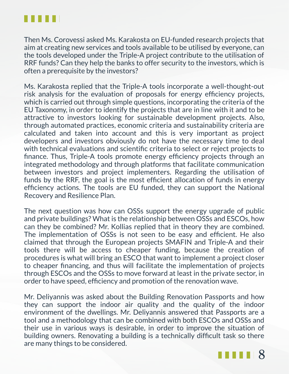

Then Ms. Corovessi asked Ms. Karakosta on EU-funded research projects that aim at creating new services and tools available to be utilised by everyone, can the tools developed under the Triple-A project contribute to the utilisation of RRF funds? Can they help the banks to offer security to the investors, which is often a prerequisite by the investors?

Ms. Karakosta replied that the Triple-A tools incorporate a well-thought-out risk analysis for the evaluation of proposals for energy efficiency projects, which is carried out through simple questions, incorporating the criteria of the EU Taxonomy, in order to identify the projects that are in line with it and to be attractive to investors looking for sustainable development projects. Also, through automated practices, economic criteria and sustainability criteria are calculated and taken into account and this is very important as project developers and investors obviously do not have the necessary time to deal with technical evaluations and scientific criteria to select or reject projects to finance. Thus, Triple-A tools promote energy efficiency projects through an integrated methodology and through platforms that facilitate communication between investors and project implementers. Regarding the utilisation of funds by the RRF, the goal is the most efficient allocation of funds in energy efficiency actions. The tools are EU funded, they can support the National Recovery and Resilience Plan.

The next question was how can OSSs support the energy upgrade of public and private buildings? What is the relationship between OSSs and ESCOs, how can they be combined? Mr. Kollias replied that in theory they are combined. The implementation of OSSs is not seen to be easy and efficient. He also claimed that through the European projects SMAFIN and Triple-A and their tools there will be access to cheaper funding, because the creation of procedures is what will bring an ESCO that want to implement a project closer to cheaper financing, and thus will facilitate the implementation of projects through ESCOs and the OSSs to move forward at least in the private sector, in order to have speed, efficiency and promotion of the renovation wave.

Mr. Deliyannis was asked about the Building Renovation Passports and how they can support the indoor air quality and the quality of the indoor environment of the dwellings. Mr. Deliyannis answered that Passports are a tool and a methodology that can be combined with both ESCOs and OSSs and their use in various ways is desirable, in order to improve the situation of building owners. Renovating a building is a technically difficult task so there are many things to be considered.

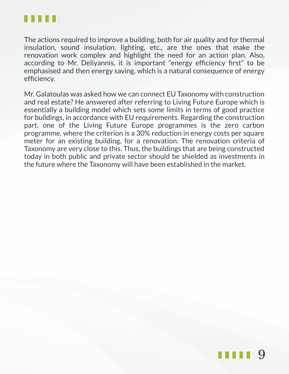

The actions required to improve a building, both for air quality and for thermal insulation, sound insulation, lighting, etc., are the ones that make the renovation work complex and highlight the need for an action plan. Also, according to Mr. Deliyannis, it is important "energy efficiency first" to be emphasised and then energy saving, which is a natural consequence of energy efficiency.

Mr. Galatoulas was asked how we can connect EU Taxonomy with construction and real estate? He answered after referring to Living Future Europe which is essentially a building model which sets some limits in terms of good practice for buildings, in accordance with EU requirements. Regarding the construction part, one of the Living Future Europe programmes is the zero carbon programme, where the criterion is a 30% reduction in energy costs per square meter for an existing building, for a renovation. The renovation criteria of Taxonomy are very close to this. Thus, the buildings that are being constructed today in both public and private sector should be shielded as investments in the future where the Taxonomy will have been established in the market.